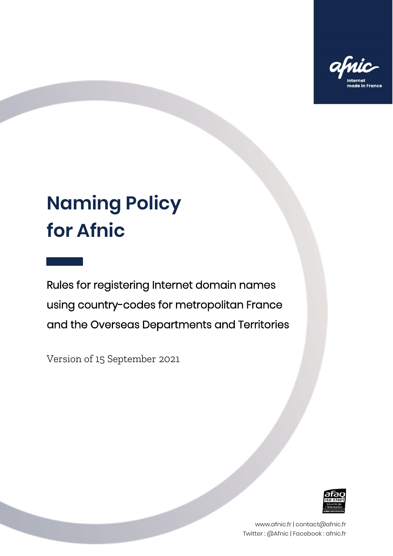

# **Naming Policy for Afnic**

Rules for registering Internet domain names using country-codes for metropolitan France and the Overseas Departments and Territories

Version of 15 September 2021



www.afnic.fr | contact@afnic.fr Twitter : @Afnic | Facebook : afnic.fr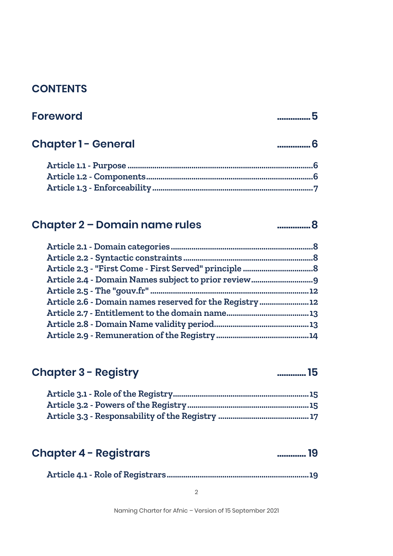#### **CONTENTS**

| <b>Foreword</b>           |  |
|---------------------------|--|
| <b>Chapter 1- General</b> |  |
|                           |  |
|                           |  |
|                           |  |

#### **Chapter 2 – Domain name rules ...............8**

|                                                        | .12 |
|--------------------------------------------------------|-----|
| Article 2.6 - Domain names reserved for the Registry12 |     |
|                                                        |     |
|                                                        |     |
|                                                        |     |

#### **Chapter 3 - Registry ............. 15**

#### **Chapter 4 - Registrars ............. 19**

|--|--|--|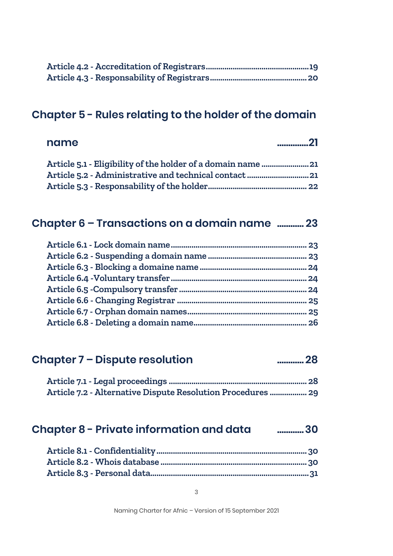#### **Chapter 5 - Rules relating to the holder of the domain**

| 21 | name |
|----|------|
|    |      |
|    |      |
|    |      |

#### **Chapter 6 – Transactions on a domain name ............ 23**

#### **Chapter 7 – Dispute resolution ............ 28**

| Article 7.2 - Alternative Dispute Resolution Procedures  29 |  |
|-------------------------------------------------------------|--|

#### **Chapter 8 - Private information and data ............30**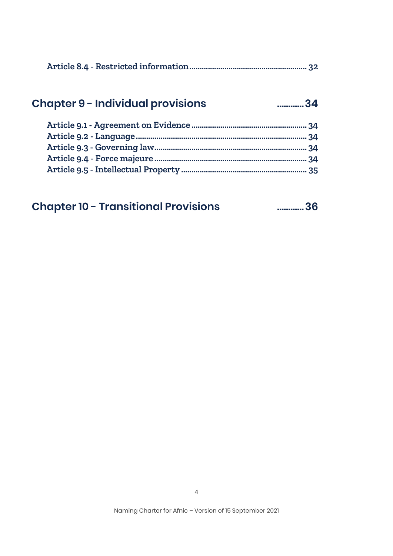|--|

# **Chapter 9 - Individual provisions ............34**

| <b>Chapter 10 - Transitional Provisions</b> | 36 |
|---------------------------------------------|----|
|---------------------------------------------|----|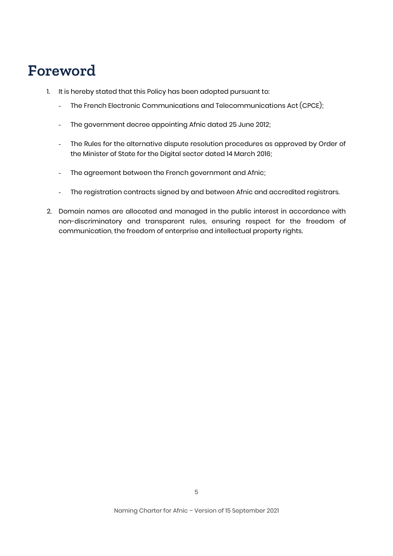# **Foreword**

- 1. It is hereby stated that this Policy has been adopted pursuant to:
	- The French Electronic Communications and Telecommunications Act (CPCE);
	- The government decree appointing Afnic dated 25 June 2012;
	- The Rules for the alternative dispute resolution procedures as approved by Order of the Minister of State for the Digital sector dated 14 March 2016;
	- The agreement between the French government and Afnic;
	- The registration contracts signed by and between Afnic and accredited registrars.
- 2. Domain names are allocated and managed in the public interest in accordance with non-discriminatory and transparent rules, ensuring respect for the freedom of communication, the freedom of enterprise and intellectual property rights.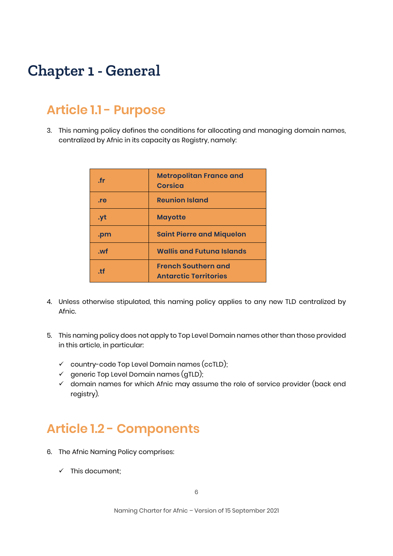# **Chapter 1 - General**

# **Article 1.1 - Purpose**

3. This naming policy defines the conditions for allocating and managing domain names, centralized by Afnic in its capacity as Registry, namely:

| fr.  | <b>Metropolitan France and</b><br>Corsica                  |
|------|------------------------------------------------------------|
| . re | <b>Reunion Island</b>                                      |
| .yt  | <b>Mayotte</b>                                             |
| .pm  | <b>Saint Pierre and Miquelon</b>                           |
| wf   | <b>Wallis and Futuna Islands</b>                           |
| $+f$ | <b>French Southern and</b><br><b>Antarctic Territories</b> |

- 4. Unless otherwise stipulated, this naming policy applies to any new TLD centralized by Afnic.
- 5. This naming policy does not apply to Top Level Domain names other than those provided in this article, in particular:
	- $\checkmark$  country-code Top Level Domain names (ccTLD);
	- $\checkmark$  generic Top Level Domain names (gTLD);
	- $\checkmark$  domain names for which Afnic may assume the role of service provider (back end registry).

### **Article 1.2 - Components**

- 6. The Afnic Naming Policy comprises:
	- $\checkmark$  This document;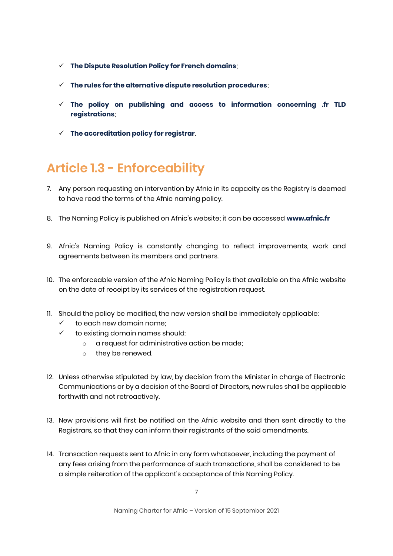- **[The Dispute Resolution Policy for French domains](https://www.afnic.fr/en/observatory-and-resources/documents-to-consult-or-download/registry-policies/)**;
- **[The rules for the alternative dispute resolution procedures](https://www.afnic.fr/en/domain-names-and-support/resolve-a-dispute/adr-alternative-dispute-resolution/)**;
- **[The policy on publishing and access to information concerning .fr TLD](https://www.afnic.fr/en/observatory-and-resources/documents-to-consult-or-download/registry-policies/)  [registrations](https://www.afnic.fr/en/observatory-and-resources/documents-to-consult-or-download/registry-policies/)**;
- **[The accreditation policy](https://www.afnic.fr/en/observatory-and-resources/documents-to-consult-or-download/registry-policies/) for registrar**.

# **Article 1.3 - Enforceability**

- 7. Any person requesting an intervention by Afnic in its capacity as the Registry is deemed to have read the terms of the Afnic naming policy.
- 8. The Naming Policy is published on Afnic's website; it can be accessed **[www.afnic.fr](http://www.afnic.fr/)**
- 9. Afnic's Naming Policy is constantly changing to reflect improvements, work and agreements between its members and partners.
- 10. The enforceable version of the Afnic Naming Policy is that available on the Afnic website on the date of receipt by its services of the registration request.
- 11. Should the policy be modified, the new version shall be immediately applicable:
	- $\checkmark$  to each new domain name;
	- $\checkmark$  to existing domain names should:
		- o a request for administrative action be made;
		- o they be renewed.
- 12. Unless otherwise stipulated by law, by decision from the Minister in charge of Electronic Communications or by a decision of the Board of Directors, new rules shall be applicable forthwith and not retroactively.
- 13. New provisions will first be notified on the Afnic website and then sent directly to the Registrars, so that they can inform their registrants of the said amendments.
- 14. Transaction requests sent to Afnic in any form whatsoever, including the payment of any fees arising from the performance of such transactions, shall be considered to be a simple reiteration of the applicant's acceptance of this Naming Policy.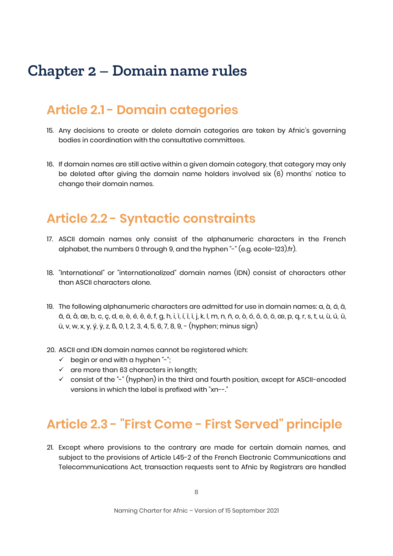# **Chapter 2 – Domain name rules**

### **Article 2.1 - Domain categories**

- 15. Any decisions to create or delete domain categories are taken by Afnic's governing bodies in coordination with the consultative committees.
- 16. If domain names are still active within a given domain category, that category may only be deleted after giving the domain name holders involved six (6) months' notice to change their domain names.

### **Article 2.2 - Syntactic constraints**

- 17. ASCII domain names only consist of the alphanumeric characters in the French alphabet, the numbers 0 through 9, and the hyphen "-" (e.g. ecole-123).fr).
- 18. "International" or "internationalized" domain names (IDN) consist of characters other than ASCII characters alone.
- 19. The following alphanumeric characters are admitted for use in domain names: a, à, á, â, ã, ä, å, æ, b, c, ç, d, e, è, é, ê, ë, f, g, h, i, ì, í, î, ï, j, k, l, m, n, ñ, o, ò, ó, ô, õ, ö, œ, p, q, r, s, t, u, ù, ú, û, ü, v, w, x, y, ý, ÿ, z, ß, 0, 1, 2, 3, 4, 5, 6, 7, 8, 9, - (hyphen; minus sign)
- 20. ASCII and IDN domain names cannot be registered which:
	- $\checkmark$  begin or end with a hyphen "-";
	- $\checkmark$  are more than 63 characters in length;
	- $\checkmark$  consist of the "-" (hyphen) in the third and fourth position, except for ASCII-encoded versions in which the label is prefixed with "xn--."

# **Article 2.3 - "First Come - First Served" principle**

21. Except where provisions to the contrary are made for certain domain names, and subject to the provisions of Article L45-2 of the French Electronic Communications and Telecommunications Act, transaction requests sent to Afnic by Registrars are handled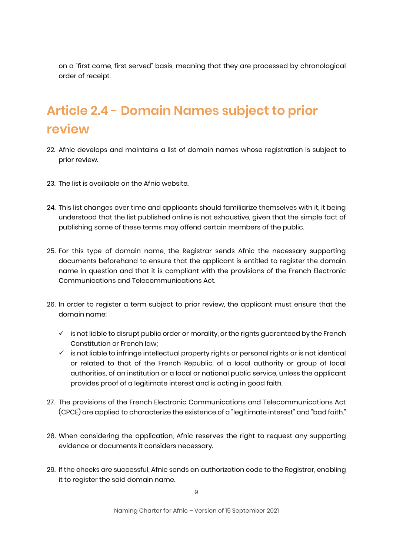on a "first come, first served" basis, meaning that they are processed by chronological order of receipt.

# **Article 2.4 - Domain Names subject to prior review**

- 22. Afnic develops and maintains a list of domain names whose registration is subject to prior review.
- 23. The list is available on the Afnic website.
- 24. This list changes over time and applicants should familiarize themselves with it, it being understood that the list published online is not exhaustive, given that the simple fact of publishing some of these terms may offend certain members of the public.
- 25. For this type of domain name, the Registrar sends Afnic the necessary supporting documents beforehand to ensure that the applicant is entitled to register the domain name in question and that it is compliant with the provisions of the French Electronic Communications and Telecommunications Act.
- 26. In order to register a term subject to prior review, the applicant must ensure that the domain name:
	- $\checkmark$  is not liable to disrupt public order or morality, or the rights guaranteed by the French Constitution or French law;
	- $\checkmark$  is not liable to infringe intellectual property rights or personal rights or is not identical or related to that of the French Republic, of a local authority or group of local authorities, of an institution or a local or national public service, unless the applicant provides proof of a legitimate interest and is acting in good faith.
- 27. The provisions of the French Electronic Communications and Telecommunications Act (CPCE) are applied to characterize the existence of a "legitimate interest" and "bad faith."
- 28. When considering the application, Afnic reserves the right to request any supporting evidence or documents it considers necessary.
- 29. If the checks are successful, Afnic sends an authorization code to the Registrar, enabling it to register the said domain name.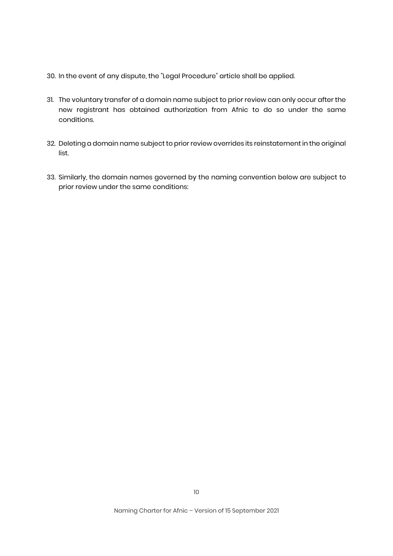- 30. In the event of any dispute, the "Legal Procedure" article shall be applied.
- 31. The voluntary transfer of a domain name subject to prior review can only occur after the new registrant has obtained authorization from Afnic to do so under the same conditions.
- 32. Deleting a domain name subject to prior review overrides its reinstatement in the original list.
- 33. Similarly, the domain names governed by the naming convention below are subject to prior review under the same conditions: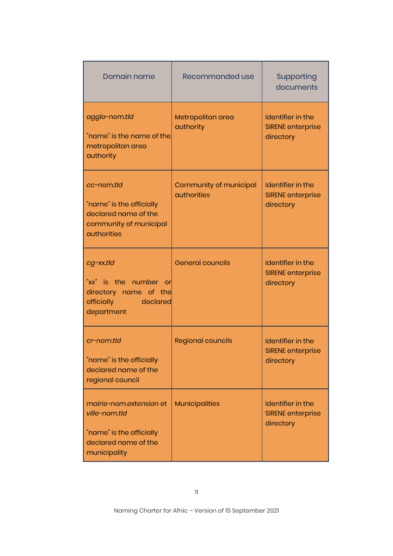| Domain name                                                                                                    | Recommanded use                              | Supporting<br>documents                                    |
|----------------------------------------------------------------------------------------------------------------|----------------------------------------------|------------------------------------------------------------|
| agglo-nom.tld<br>"name" is the name of the<br>metropolitan area<br>authority                                   | Metropolitan area<br>authority               | Identifier in the<br><b>SIRENE</b> enterprise<br>directory |
| cc-nom.tld<br>"name" is the officially<br>declared name of the<br>community of municipal<br><b>authorities</b> | Community of municipal<br><b>authorities</b> | Identifier in the<br><b>SIRENE enterprise</b><br>directory |
| cg-xx.tld<br>"xx" is the number or<br>directory name of the<br>officially<br>declared<br>department            | <b>General councils</b>                      | Identifier in the<br><b>SIRENE enterprise</b><br>directory |
| cr-nom.tld<br>"name" is the officially<br>declared name of the<br>regional council                             | <b>Regional councils</b>                     | Identifier in the<br><b>SIRENE enterprise</b><br>directory |
| mairie-nom.extension et<br>ville-nom.tld<br>"name" is the officially<br>declared name of the<br>municipality   | <b>Municipalities</b>                        | Identifier in the<br><b>SIRENE enterprise</b><br>directory |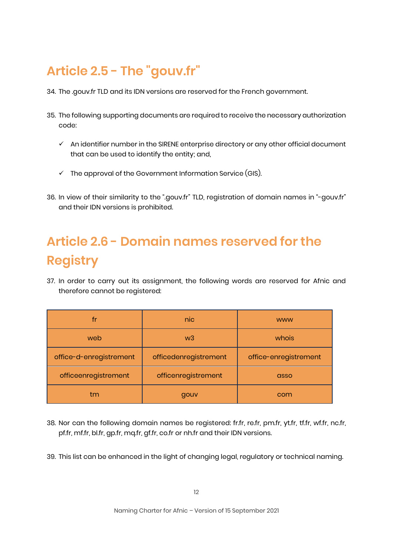# **Article 2.5 - The "gouv.fr"**

- 34. The .gouv.fr TLD and its IDN versions are reserved for the French government.
- 35. The following supporting documents are required to receive the necessary authorization code:
	- $\checkmark$  An identifier number in the SIRENE enterprise directory or any other official document that can be used to identify the entity; and,
	- $\checkmark$  The approval of the Government Information Service (GIS).
- 36. In view of their similarity to the ".gouv.fr" TLD, registration of domain names in "-gouv.fr" and their IDN versions is prohibited.

# **Article 2.6 - Domain names reserved for the Registry**

37. In order to carry out its assignment, the following words are reserved for Afnic and therefore cannot be registered:

| fr                      | nic                   | <b>WWW</b>            |
|-------------------------|-----------------------|-----------------------|
| web                     | w <sub>3</sub>        | whois                 |
| office-d-enregistrement | officedenregistrement | office-enregistrement |
| officeenregistrement    | officenregistrement   | asso                  |
| tm                      | gouv                  | com                   |

- 38. Nor can the following domain names be registered: fr.fr, re.fr, pm.fr, yt.fr, tf.fr, wf.fr, nc.fr, pf.fr, mf.fr, bl.fr, gp.fr, mq.fr, gf.fr, co.fr or nh.fr and their IDN versions.
- 39. This list can be enhanced in the light of changing legal, regulatory or technical naming.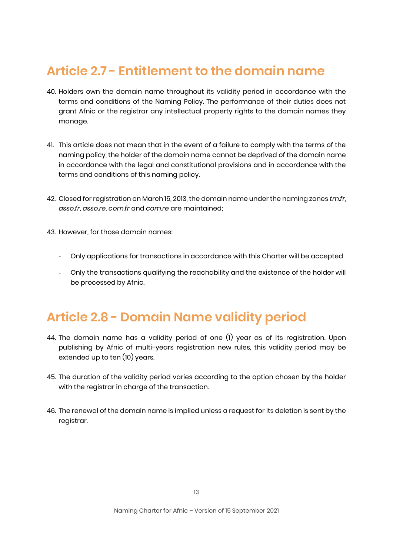# **Article 2.7 - Entitlement to the domain name**

- 40. Holders own the domain name throughout its validity period in accordance with the terms and conditions of the Naming Policy. The performance of their duties does not grant Afnic or the registrar any intellectual property rights to the domain names they manage.
- 41. This article does not mean that in the event of a failure to comply with the terms of the naming policy, the holder of the domain name cannot be deprived of the domain name in accordance with the legal and constitutional provisions and in accordance with the terms and conditions of this naming policy.
- 42. Closed for registration on March 15, 2013, the domain name under the naming zones *tm.fr*, *asso.fr*, *asso.re*, *com.fr* and *com.re* are maintained;
- 43. However, for those domain names:
	- Only applications for transactions in accordance with this Charter will be accepted
	- Only the transactions qualifying the reachability and the existence of the holder will be processed by Afnic.

### **Article 2.8 - Domain Name validity period**

- 44. The domain name has a validity period of one (1) year as of its registration. Upon publishing by Afnic of multi-years registration new rules, this validity period may be extended up to ten (10) years.
- 45. The duration of the validity period varies according to the option chosen by the holder with the registrar in charge of the transaction.
- 46. The renewal of the domain name is implied unless a request for its deletion is sent by the registrar.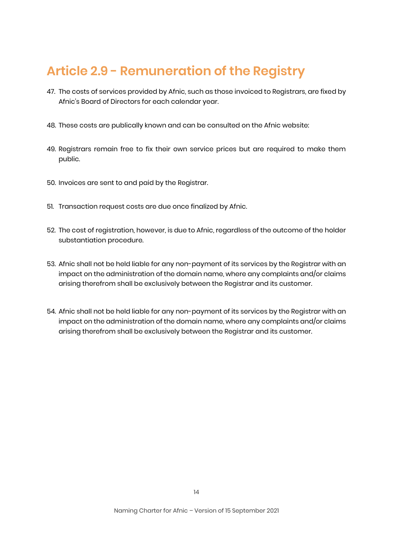# **Article 2.9 - Remuneration of the Registry**

- 47. The costs of services provided by Afnic, such as those invoiced to Registrars, are fixed by Afnic's Board of Directors for each calendar year.
- 48. These costs are publically known and can be consulted on the Afnic website:
- 49. Registrars remain free to fix their own service prices but are required to make them public.
- 50. Invoices are sent to and paid by the Registrar.
- 51. Transaction request costs are due once finalized by Afnic.
- 52. The cost of registration, however, is due to Afnic, regardless of the outcome of the holder substantiation procedure.
- 53. Afnic shall not be held liable for any non-payment of its services by the Registrar with an impact on the administration of the domain name, where any complaints and/or claims arising therefrom shall be exclusively between the Registrar and its customer.
- 54. Afnic shall not be held liable for any non-payment of its services by the Registrar with an impact on the administration of the domain name, where any complaints and/or claims arising therefrom shall be exclusively between the Registrar and its customer.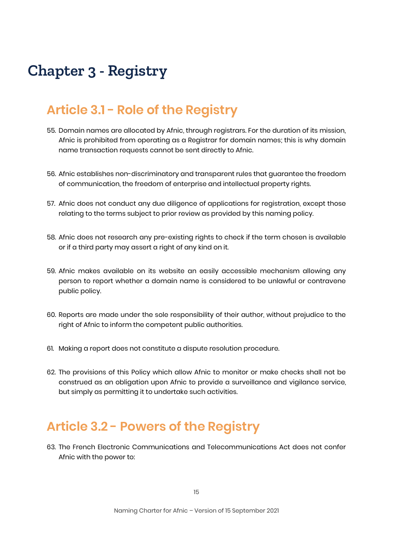# **Chapter 3 - Registry**

### **Article 3.1 - Role of the Registry**

- 55. Domain names are allocated by Afnic, through registrars. For the duration of its mission, Afnic is prohibited from operating as a Registrar for domain names; this is why domain name transaction requests cannot be sent directly to Afnic.
- 56. Afnic establishes non-discriminatory and transparent rules that guarantee the freedom of communication, the freedom of enterprise and intellectual property rights.
- 57. Afnic does not conduct any due diligence of applications for registration, except those relating to the terms subject to prior review as provided by this naming policy.
- 58. Afnic does not research any pre-existing rights to check if the term chosen is available or if a third party may assert a right of any kind on it.
- 59. Afnic makes available on its website an easily accessible mechanism allowing any person to report whether a domain name is considered to be unlawful or contravene public policy.
- 60. Reports are made under the sole responsibility of their author, without prejudice to the right of Afnic to inform the competent public authorities.
- 61. Making a report does not constitute a dispute resolution procedure.
- 62. The provisions of this Policy which allow Afnic to monitor or make checks shall not be construed as an obligation upon Afnic to provide a surveillance and vigilance service, but simply as permitting it to undertake such activities.

#### **Article 3.2 - Powers of the Registry**

63. The French Electronic Communications and Telecommunications Act does not confer Afnic with the power to: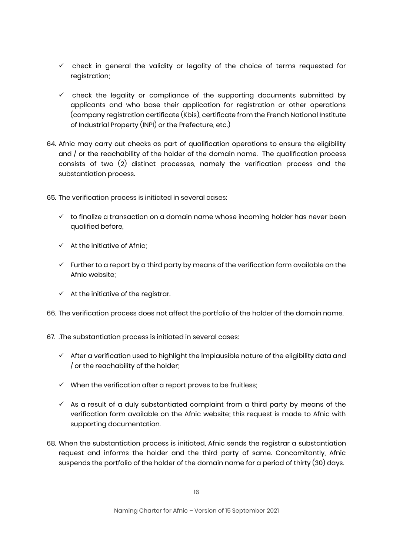- $\checkmark$  check in general the validity or legality of the choice of terms requested for registration;
- $\checkmark$  check the legality or compliance of the supporting documents submitted by applicants and who base their application for registration or other operations (company registration certificate (Kbis), certificate from the French National Institute of Industrial Property (INPI) or the Prefecture, etc.)
- 64. Afnic may carry out checks as part of qualification operations to ensure the eligibility and / or the reachability of the holder of the domain name. The qualification process consists of two (2) distinct processes, namely the verification process and the substantiation process.
- 65. The verification process is initiated in several cases:
	- $\checkmark$  to finalize a transaction on a domain name whose incomina holder has never been qualified before,
	- $\checkmark$  At the initiative of Afnic;
	- $\checkmark$  Further to a report by a third party by means of the verification form available on the Afnic website;
	- $\checkmark$  At the initiative of the registrar.
- 66. The verification process does not affect the portfolio of the holder of the domain name.
- 67. .The substantiation process is initiated in several cases:
	- $\checkmark$  After a verification used to highlight the implausible nature of the eligibility data and / or the reachability of the holder;
	- $\checkmark$  When the verification after a report proves to be fruitless;
	- $\checkmark$  As a result of a duly substantiated complaint from a third party by means of the verification form available on the Afnic website; this request is made to Afnic with supporting documentation.
- 68. When the substantiation process is initiated, Afnic sends the registrar a substantiation request and informs the holder and the third party of same. Concomitantly, Afnic suspends the portfolio of the holder of the domain name for a period of thirty (30) days.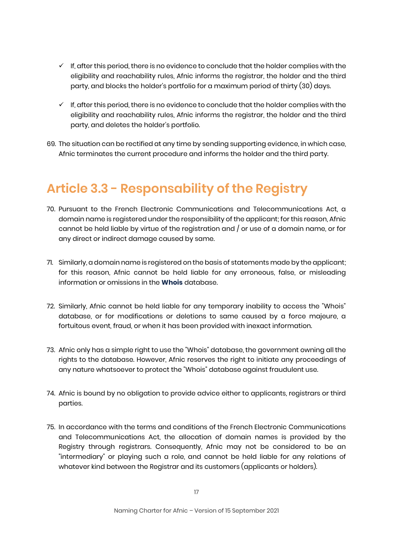- $\checkmark$  If, after this period, there is no evidence to conclude that the holder complies with the eligibility and reachability rules, Afnic informs the registrar, the holder and the third party, and blocks the holder's portfolio for a maximum period of thirty (30) days.
- $\checkmark$  If, after this period, there is no evidence to conclude that the holder complies with the eligibility and reachability rules, Afnic informs the registrar, the holder and the third party, and deletes the holder's portfolio.
- 69. The situation can be rectified at any time by sending supporting evidence, in which case, Afnic terminates the current procedure and informs the holder and the third party.

# **Article 3.3 - Responsability of the Registry**

- 70. Pursuant to the French Electronic Communications and Telecommunications Act, a domain name is registered under the responsibility of the applicant; for this reason, Afnic cannot be held liable by virtue of the registration and / or use of a domain name, or for any direct or indirect damage caused by same.
- 71. Similarly, a domain name is registered on the basis of statements made by the applicant; for this reason, Afnic cannot be held liable for any erroneous, false, or misleading information or omissions in the **[Whois](https://www.afnic.fr/en/domain-names-and-support/everything-there-is-to-know-about-domain-names/find-a-domain-name-or-a-holder-using-whois/)** database.
- 72. Similarly, Afnic cannot be held liable for any temporary inability to access the "Whois" database, or for modifications or deletions to same caused by a force majeure, a fortuitous event, fraud, or when it has been provided with inexact information.
- 73. Afnic only has a simple right to use the "Whois" database, the government owning all the rights to the database. However, Afnic reserves the right to initiate any proceedings of any nature whatsoever to protect the "Whois" database against fraudulent use.
- 74. Afnic is bound by no obligation to provide advice either to applicants, registrars or third parties.
- 75. In accordance with the terms and conditions of the French Electronic Communications and Telecommunications Act, the allocation of domain names is provided by the Registry through registrars. Consequently, Afnic may not be considered to be an "intermediary" or playing such a role, and cannot be held liable for any relations of whatever kind between the Registrar and its customers (applicants or holders).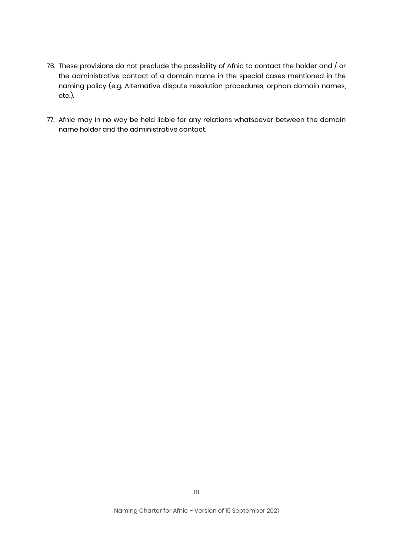- 76. These provisions do not preclude the possibility of Afnic to contact the holder and / or the administrative contact of a domain name in the special cases mentioned in the naming policy (e.g. Alternative dispute resolution procedures, orphan domain names, etc.).
- 77. Afnic may in no way be held liable for any relations whatsoever between the domain name holder and the administrative contact.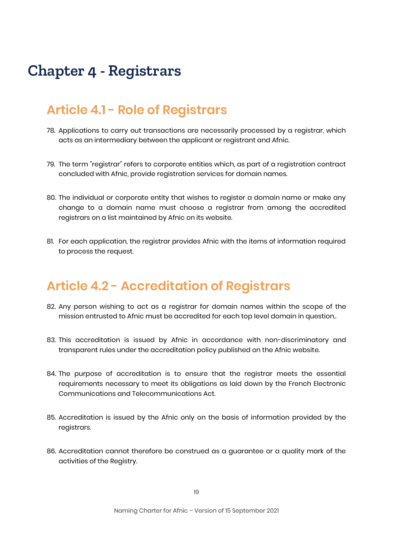# **Chapter 4 - Registrars**

### **Article 4.1 - Role of Registrars**

- 78. Applications to carry out transactions are necessarily processed by a registrar, which acts as an intermediary between the applicant or registrant and Afnic.
- 79. The term "registrar" refers to corporate entities which, as part of a registration contract concluded with Afnic, provide registration services for domain names.
- 80. The individual or corporate entity that wishes to register a domain name or make any change to a domain name must choose a registrar from among the accredited registrars on a list maintained by Afnic on its website.
- 81. For each application, the registrar provides Afnic with the items of information required to process the request.

### **Article 4.2 - Accreditation of Registrars**

- 82. Any person wishing to act as a registrar for domain names within the scope of the mission entrusted to Afnic must be accredited for each top level domain in question..
- 83. This accreditation is issued by Afnic in accordance with non-discriminatory and transparent rules under the accreditation policy published on the Afnic website.
- 84. The purpose of accreditation is to ensure that the registrar meets the essential requirements necessary to meet its obligations as laid down by the French Electronic Communications and Telecommunications Act.
- 85. Accreditation is issued by the Afnic only on the basis of information provided by the registrars.
- 86. Accreditation cannot therefore be construed as a guarantee or a quality mark of the activities of the Registry.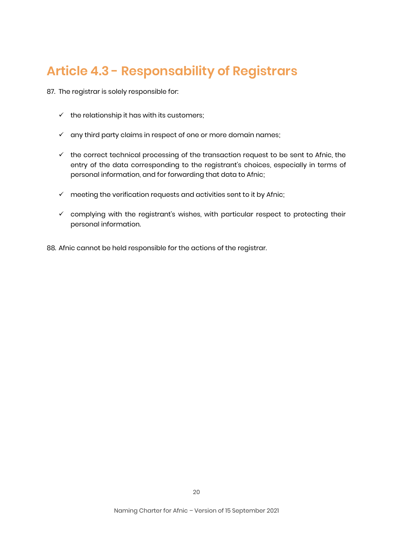# **Article 4.3 - Responsability of Registrars**

87. The registrar is solely responsible for:

- $\checkmark$  the relationship it has with its customers;
- $\checkmark$  any third party claims in respect of one or more domain names;
- $\checkmark$  the correct technical processing of the transaction request to be sent to Afnic, the entry of the data corresponding to the registrant's choices, especially in terms of personal information, and for forwarding that data to Afnic;
- $\checkmark$  meeting the verification requests and activities sent to it by Afnic;
- $\checkmark$  complying with the registrant's wishes, with particular respect to protecting their personal information.

88. Afnic cannot be held responsible for the actions of the registrar.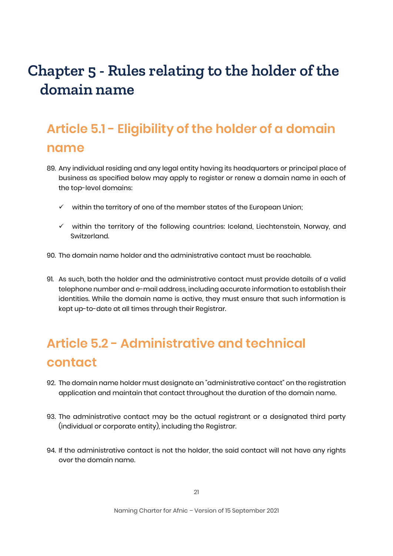# **Chapter 5 - Rules relating to the holder of the domain name**

# **Article 5.1 - Eligibility of the holder of a domain name**

- 89. Any individual residing and any legal entity having its headquarters or principal place of business as specified below may apply to register or renew a domain name in each of the top-level domains:
	- $\checkmark$  within the territory of one of the member states of the European Union;
	- $\checkmark$  within the territory of the following countries: Iceland, Liechtenstein, Norway, and Switzerland.
- 90. The domain name holder and the administrative contact must be reachable.
- 91. As such, both the holder and the administrative contact must provide details of a valid telephone number and e-mail address, including accurate information to establish their identities. While the domain name is active, they must ensure that such information is kept up-to-date at all times through their Registrar.

# **Article 5.2 - Administrative and technical contact**

- 92. The domain name holder must designate an "administrative contact" on the registration application and maintain that contact throughout the duration of the domain name.
- 93. The administrative contact may be the actual registrant or a designated third party (individual or corporate entity), including the Registrar.
- 94. If the administrative contact is not the holder, the said contact will not have any rights over the domain name.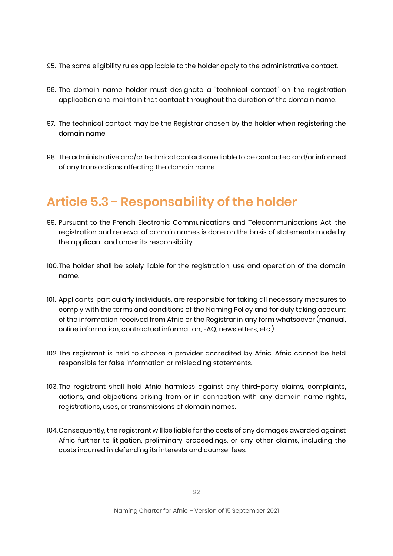- 95. The same eligibility rules applicable to the holder apply to the administrative contact.
- 96. The domain name holder must designate a "technical contact" on the registration application and maintain that contact throughout the duration of the domain name.
- 97. The technical contact may be the Registrar chosen by the holder when registering the domain name.
- 98. The administrative and/or technical contacts are liable to be contacted and/or informed of any transactions affecting the domain name.

# **Article 5.3 - Responsability of the holder**

- 99. Pursuant to the French Electronic Communications and Telecommunications Act, the registration and renewal of domain names is done on the basis of statements made by the applicant and under its responsibility
- 100.The holder shall be solely liable for the registration, use and operation of the domain name.
- 101. Applicants, particularly individuals, are responsible for taking all necessary measures to comply with the terms and conditions of the Naming Policy and for duly taking account of the information received from Afnic or the Registrar in any form whatsoever (manual, online information, contractual information, FAQ, newsletters, etc.).
- 102. The registrant is held to choose a provider accredited by Afnic. Afnic cannot be held responsible for false information or misleading statements.
- 103. The registrant shall hold Afnic harmless against any third-party claims, complaints, actions, and objections arising from or in connection with any domain name rights, registrations, uses, or transmissions of domain names.
- 104.Consequently, the registrant will be liable for the costs of any damages awarded against Afnic further to litigation, preliminary proceedings, or any other claims, including the costs incurred in defending its interests and counsel fees.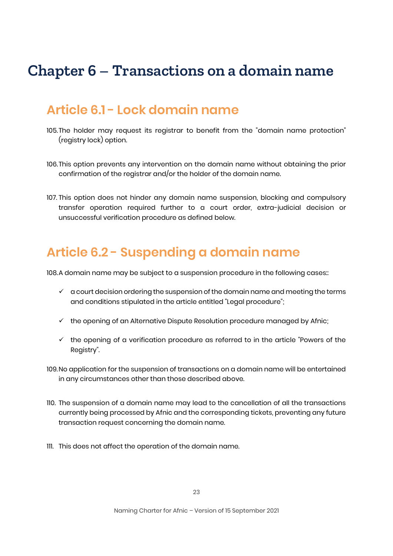# **Chapter 6 – Transactions on a domain name**

#### **Article 6.1 - Lock domain name**

- 105.The holder may request its registrar to benefit from the "domain name protection" (registry lock) option.
- 106.This option prevents any intervention on the domain name without obtaining the prior confirmation of the registrar and/or the holder of the domain name.
- 107. This option does not hinder any domain name suspension, blocking and compulsory transfer operation required further to a court order, extra-judicial decision or unsuccessful verification procedure as defined below.

#### **Article 6.2 - Suspending a domain name**

108.A domain name may be subject to a suspension procedure in the following cases::

- $\checkmark$  a court decision ordering the suspension of the domain name and meeting the terms and conditions stipulated in the article entitled "Legal procedure";
- $\checkmark$  the opening of an Alternative Dispute Resolution procedure managed by Afnic;
- $\checkmark$  the opening of a verification procedure as referred to in the article "Powers of the Registry".
- 109.No application for the suspension of transactions on a domain name will be entertained in any circumstances other than those described above.
- 110. The suspension of a domain name may lead to the cancellation of all the transactions currently being processed by Afnic and the corresponding tickets, preventing any future transaction request concerning the domain name.
- 111. This does not affect the operation of the domain name.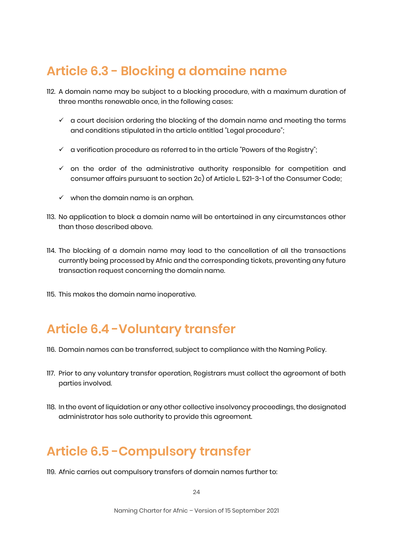# **Article 6.3 - Blocking a domaine name**

- 112. A domain name may be subject to a blocking procedure, with a maximum duration of three months renewable once, in the following cases:
	- $\checkmark$  a court decision ordering the blocking of the domain name and meeting the terms and conditions stipulated in the article entitled "Legal procedure";
	- $\checkmark$  a verification procedure as referred to in the article "Powers of the Registry";
	- $\checkmark$  on the order of the administrative authority responsible for competition and consumer affairs pursuant to section 2c) of Article L. 521-3-1 of the Consumer Code;
	- $\checkmark$  when the domain name is an orphan.
- 113. No application to block a domain name will be entertained in any circumstances other than those described above.
- 114. The blocking of a domain name may lead to the cancellation of all the transactions currently being processed by Afnic and the corresponding tickets, preventing any future transaction request concerning the domain name.
- 115. This makes the domain name inoperative.

# **Article 6.4 -Voluntary transfer**

- 116. Domain names can be transferred, subject to compliance with the Naming Policy.
- 117. Prior to any voluntary transfer operation, Registrars must collect the agreement of both parties involved.
- 118. In the event of liquidation or any other collective insolvency proceedings, the designated administrator has sole authority to provide this agreement.

# **Article 6.5 -Compulsory transfer**

119. Afnic carries out compulsory transfers of domain names further to:

 $24$ 

Naming Charter for Afnic – Version of 15 September 2021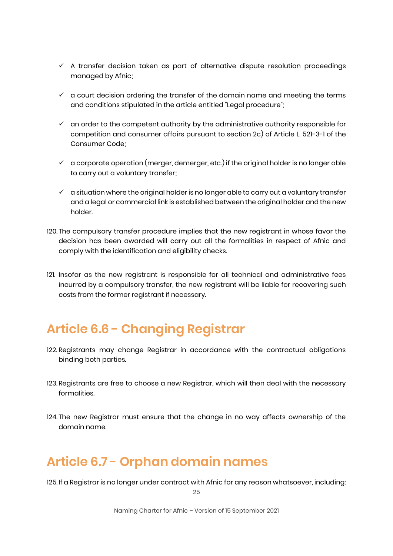- $\checkmark$  A transfer decision taken as part of alternative dispute resolution proceedings managed by Afnic;
- $\checkmark$  a court decision ordering the transfer of the domain name and meeting the terms and conditions stipulated in the article entitled "Legal procedure";
- $\checkmark$  an order to the competent authority by the administrative authority responsible for competition and consumer affairs pursuant to section 2c) of Article L. 521-3-1 of the Consumer Code;
- $\checkmark$  a corporate operation (merger, demerger, etc.) if the original holder is no longer able to carry out a voluntary transfer;
- $\checkmark$  a situation where the original holder is no longer able to carry out a voluntary transfer and a legal or commercial link is established between the original holder and the new holder.
- 120. The compulsory transfer procedure implies that the new registrant in whose favor the decision has been awarded will carry out all the formalities in respect of Afnic and comply with the identification and eligibility checks.
- 121. Insofar as the new registrant is responsible for all technical and administrative fees incurred by a compulsory transfer, the new registrant will be liable for recovering such costs from the former registrant if necessary.

# **Article 6.6 - Changing Registrar**

- 122. Registrants may change Registrar in accordance with the contractual obligations binding both parties.
- 123. Registrants are free to choose a new Registrar, which will then deal with the necessary formalities.
- 124. The new Registrar must ensure that the change in no way affects ownership of the domain name.

### **Article 6.7 - Orphan domain names**

125. If a Registrar is no longer under contract with Afnic for any reason whatsoever, including:

25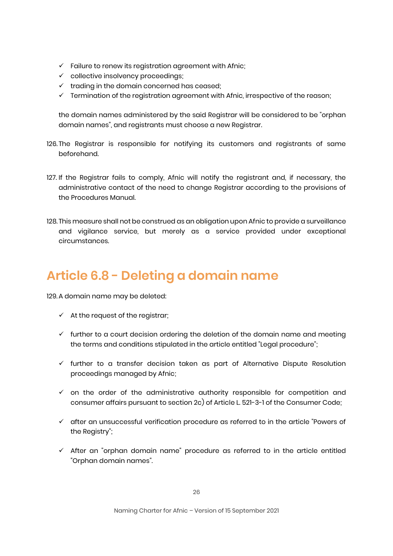- $\checkmark$  Failure to renew its registration agreement with Afnic;
- $\checkmark$  collective insolvency proceedings;
- $\checkmark$  trading in the domain concerned has ceased;
- $\checkmark$  Termination of the registration agreement with Afnic, irrespective of the reason;

the domain names administered by the said Registrar will be considered to be "orphan domain names", and registrants must choose a new Registrar.

- 126. The Registrar is responsible for notifying its customers and registrants of same beforehand.
- 127. If the Registrar fails to comply, Afnic will notify the registrant and, if necessary, the administrative contact of the need to change Registrar according to the provisions of the Procedures Manual.
- 128. This measure shall not be construed as an obligation upon Afnic to provide a surveillance and vigilance service, but merely as a service provided under exceptional circumstances.

# **Article 6.8 - Deleting a domain name**

129. A domain name may be deleted:

- $\checkmark$  At the request of the registrar;
- $\checkmark$  further to a court decision ordering the deletion of the domain name and meeting the terms and conditions stipulated in the article entitled "Legal procedure";
- $\checkmark$  further to a transfer decision taken as part of Alternative Dispute Resolution proceedings managed by Afnic;
- $\checkmark$  on the order of the administrative authority responsible for competition and consumer affairs pursuant to section 2c) of Article L. 521-3-1 of the Consumer Code;
- $\checkmark$  after an unsuccessful verification procedure as referred to in the article "Powers of the Registry";
- $\checkmark$  After an "orphan domain name" procedure as referred to in the article entitled "Orphan domain names".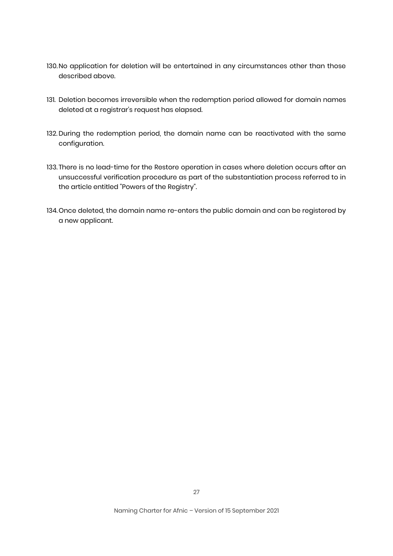- 130.No application for deletion will be entertained in any circumstances other than those described above.
- 131. Deletion becomes irreversible when the redemption period allowed for domain names deleted at a registrar's request has elapsed.
- 132. During the redemption period, the domain name can be reactivated with the same configuration.
- 133. There is no lead-time for the Restore operation in cases where deletion occurs after an unsuccessful verification procedure as part of the substantiation process referred to in the article entitled "Powers of the Registry".
- 134.Once deleted, the domain name re-enters the public domain and can be registered by a new applicant.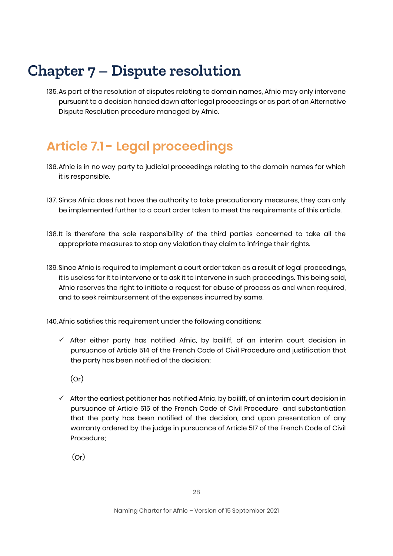# **Chapter 7 – Dispute resolution**

135.As part of the resolution of disputes relating to domain names, Afnic may only intervene pursuant to a decision handed down after legal proceedings or as part of an Alternative Dispute Resolution procedure managed by Afnic.

# **Article 7.1 - Legal proceedings**

- 136.Afnic is in no way party to judicial proceedings relating to the domain names for which it is responsible.
- 137. Since Afnic does not have the authority to take precautionary measures, they can only be implemented further to a court order taken to meet the requirements of this article.
- 138.It is therefore the sole responsibility of the third parties concerned to take all the appropriate measures to stop any violation they claim to infringe their rights.
- 139. Since Afnic is required to implement a court order taken as a result of legal proceedings, it is useless for it to intervene or to ask it to intervene in such proceedings. This being said, Afnic reserves the right to initiate a request for abuse of process as and when required, and to seek reimbursement of the expenses incurred by same.

140.Afnic satisfies this requirement under the following conditions:

- $\checkmark$  After either party has notified Afnic, by bailiff, of an interim court decision in pursuance of Article 514 of the French Code of Civil Procedure and justification that the party has been notified of the decision;
	- (Or)
- $\checkmark$  After the earliest petitioner has notified Afnic, by bailiff, of an interim court decision in pursuance of Article 515 of the French Code of Civil Procedure and substantiation that the party has been notified of the decision, and upon presentation of any warranty ordered by the judge in pursuance of Article 517 of the French Code of Civil Procedure;

(Or)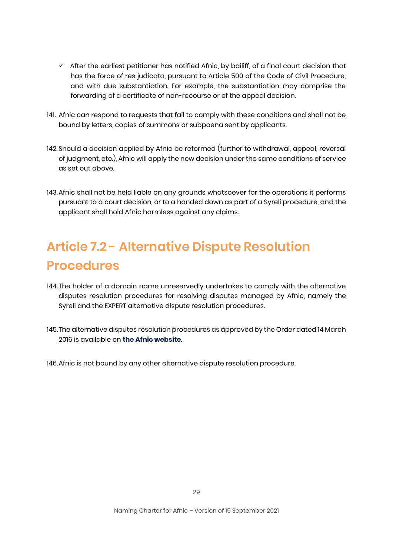- $\checkmark$  After the earliest petitioner has notified Afnic, by bailiff, of a final court decision that has the force of res judicata, pursuant to Article 500 of the Code of Civil Procedure, and with due substantiation. For example, the substantiation may comprise the forwarding of a certificate of non-recourse or of the appeal decision.
- 141. Afnic can respond to requests that fail to comply with these conditions and shall not be bound by letters, copies of summons or subpoena sent by applicants.
- 142. Should a decision applied by Afnic be reformed (further to withdrawal, appeal, reversal of judgment, etc.), Afnic will apply the new decision under the same conditions of service as set out above.
- 143.Afnic shall not be held liable on any grounds whatsoever for the operations it performs pursuant to a court decision, or to a handed down as part of a Syreli procedure, and the applicant shall hold Afnic harmless against any claims.

# **Article 7.2 - Alternative Dispute Resolution Procedures**

- 144.The holder of a domain name unreservedly undertakes to comply with the alternative disputes resolution procedures for resolving disputes managed by Afnic, namely the Syreli and the EXPERT alternative dispute resolution procedures.
- 145.The alternative disputes resolution procedures as approved by the Order dated 14 March 2016 is available on **[the Afnic website](https://www.afnic.fr/en/domain-names-and-support/resolve-a-dispute/adr-alternative-dispute-resolution/)**.

146.Afnic is not bound by any other alternative dispute resolution procedure.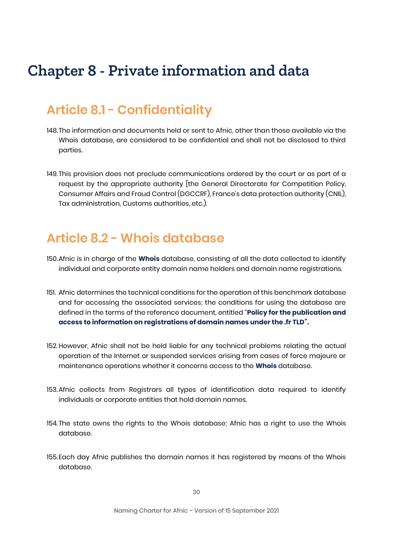# **Chapter 8 - Private information and data**

# **Article 8.1 - Confidentiality**

- 148.The information and documents held or sent to Afnic, other than those available via the Whois database, are considered to be confidential and shall not be disclosed to third parties.
- 149.This provision does not preclude communications ordered by the court or as part of a request by the appropriate authority [the General Directorate for Competition Policy, Consumer Affairs and Fraud Control (DGCCRF), France's data protection authority (CNIL), Tax administration, Customs authorities, etc.).

### **Article 8.2 - Whois database**

- 150.Afnic is in charge of the **[Whois](https://www.afnic.fr/en/domain-names-and-support/everything-there-is-to-know-about-domain-names/find-a-domain-name-or-a-holder-using-whois/)** database, consisting of all the data collected to identify individual and corporate entity domain name holders and domain name registrations.
- 151. Afnic determines the technical conditions for the operation of this benchmark database and for accessing the associated services; the conditions for using the database are defined in the terms of the reference document, entitled "**[Policy for the publication and](https://www.afnic.fr/en/observatory-and-resources/documents-to-consult-or-download/registry-policies/)  [access to information on registrations of domain names under the .fr TLD](https://www.afnic.fr/en/observatory-and-resources/documents-to-consult-or-download/registry-policies/)".**
- 152.However, Afnic shall not be held liable for any technical problems relating the actual operation of the Internet or suspended services arising from cases of force majeure or maintenance operations whether it concerns access to the **[Whois](https://www.afnic.fr/en/domain-names-and-support/everything-there-is-to-know-about-domain-names/find-a-domain-name-or-a-holder-using-whois/)** database.
- 153.Afnic collects from Registrars all types of identification data required to identify individuals or corporate entities that hold domain names.
- 154.The state owns the rights to the Whois database; Afnic has a right to use the Whois database.
- 155.Each day Afnic publishes the domain names it has registered by means of the Whois database.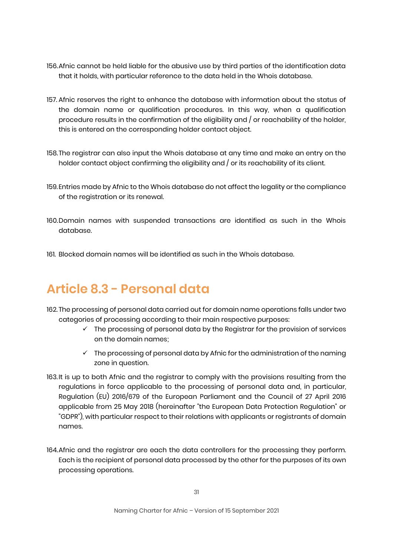- 156.Afnic cannot be held liable for the abusive use by third parties of the identification data that it holds, with particular reference to the data held in the Whois database.
- 157. Afnic reserves the right to enhance the database with information about the status of the domain name or qualification procedures. In this way, when a qualification procedure results in the confirmation of the eligibility and / or reachability of the holder, this is entered on the corresponding holder contact object.
- 158.The registrar can also input the Whois database at any time and make an entry on the holder contact object confirming the eligibility and / or its reachability of its client.
- 159.Entries made by Afnic to the Whois database do not affect the legality or the compliance of the registration or its renewal.
- 160.Domain names with suspended transactions are identified as such in the Whois database.
- 161. Blocked domain names will be identified as such in the Whois database.

### **Article 8.3 - Personal data**

- 162. The processing of personal data carried out for domain name operations falls under two categories of processing according to their main respective purposes:
	- $\checkmark$  The processing of personal data by the Registrar for the provision of services on the domain names;
	- $\checkmark$  The processing of personal data by Afnic for the administration of the naming zone in question.
- 163. It is up to both Afnic and the registrar to comply with the provisions resulting from the regulations in force applicable to the processing of personal data and, in particular, Regulation (EU) 2016/679 of the European Parliament and the Council of 27 April 2016 applicable from 25 May 2018 (hereinafter "the European Data Protection Regulation" or "GDPR"), with particular respect to their relations with applicants or registrants of domain names.
- 164.Afnic and the registrar are each the data controllers for the processing they perform. Each is the recipient of personal data processed by the other for the purposes of its own processing operations.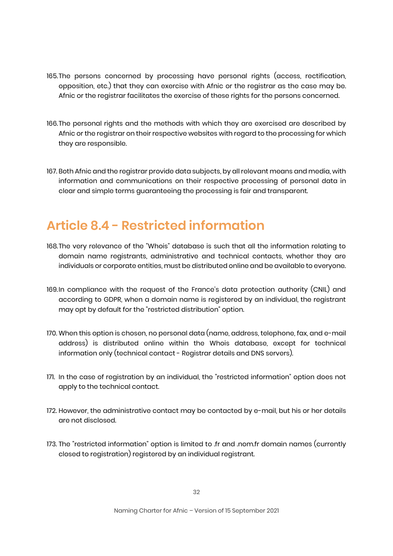- 165.The persons concerned by processing have personal rights (access, rectification, opposition, etc.) that they can exercise with Afnic or the registrar as the case may be. Afnic or the registrar facilitates the exercise of these rights for the persons concerned.
- 166.The personal rights and the methods with which they are exercised are described by Afnic or the registrar on their respective websites with regard to the processing for which they are responsible.
- 167. Both Afnic and the registrar provide data subjects, by all relevant means and media, with information and communications on their respective processing of personal data in clear and simple terms guaranteeing the processing is fair and transparent.

# **Article 8.4 - Restricted information**

- 168.The very relevance of the "Whois" database is such that all the information relating to domain name registrants, administrative and technical contacts, whether they are individuals or corporate entities, must be distributed online and be available to everyone.
- 169.In compliance with the request of the France's data protection authority (CNIL) and according to GDPR, when a domain name is registered by an individual, the registrant may opt by default for the "restricted distribution" option.
- 170. When this option is chosen, no personal data (name, address, telephone, fax, and e-mail address) is distributed online within the Whois database, except for technical information only (technical contact - Registrar details and DNS servers).
- 171. In the case of registration by an individual, the "restricted information" option does not apply to the technical contact.
- 172. However, the administrative contact may be contacted by e-mail, but his or her details are not disclosed.
- 173. The "restricted information" option is limited to .fr and .nom.fr domain names (currently closed to registration) registered by an individual registrant.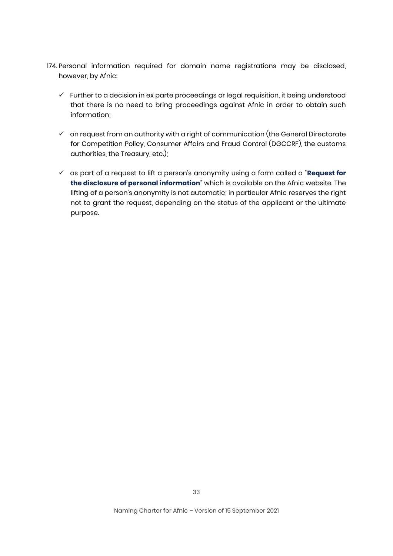- 174. Personal information required for domain name registrations may be disclosed, however, by Afnic:
	- $\checkmark$  Further to a decision in ex parte proceedings or legal requisition, it being understood that there is no need to bring proceedings against Afnic in order to obtain such information;
	- $\checkmark$  on request from an authority with a right of communication (the General Directorate for Competition Policy, Consumer Affairs and Fraud Control (DGCCRF), the customs authorities, the Treasury, etc.);
	- as part of a request to lift a person's anonymity using a form called a "**[Request for](https://www.afnic.fr/en/domain-names-and-support/resolve-a-dispute/data-disclosure-request/)  [the disclosure of personal information](https://www.afnic.fr/en/domain-names-and-support/resolve-a-dispute/data-disclosure-request/)**" which is available on the Afnic website. The lifting of a person's anonymity is not automatic; in particular Afnic reserves the right not to grant the request, depending on the status of the applicant or the ultimate purpose.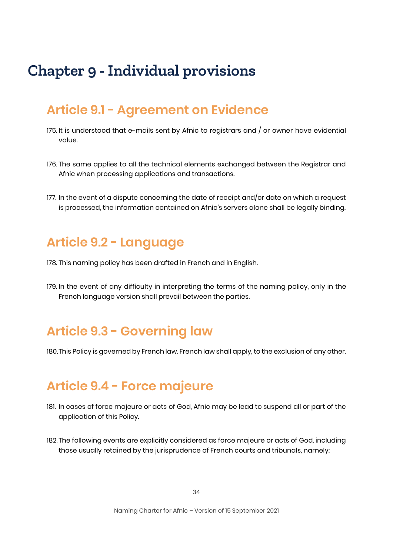# **Chapter 9 - Individual provisions**

#### **Article 9.1 - Agreement on Evidence**

- 175. It is understood that e-mails sent by Afnic to registrars and / or owner have evidential value.
- 176. The same applies to all the technical elements exchanged between the Registrar and Afnic when processing applications and transactions.
- 177. In the event of a dispute concerning the date of receipt and/or date on which a request is processed, the information contained on Afnic's servers alone shall be legally binding.

#### **Article 9.2 - Language**

- 178. This naming policy has been drafted in French and in English.
- 179. In the event of any difficulty in interpreting the terms of the naming policy, only in the French language version shall prevail between the parties.

# **Article 9.3 - Governing law**

180.This Policy is governed by French law. French law shall apply, to the exclusion of any other.

### **Article 9.4 - Force majeure**

- 181. In cases of force majeure or acts of God, Afnic may be lead to suspend all or part of the application of this Policy.
- 182. The following events are explicitly considered as force majeure or acts of God, including those usually retained by the jurisprudence of French courts and tribunals, namely: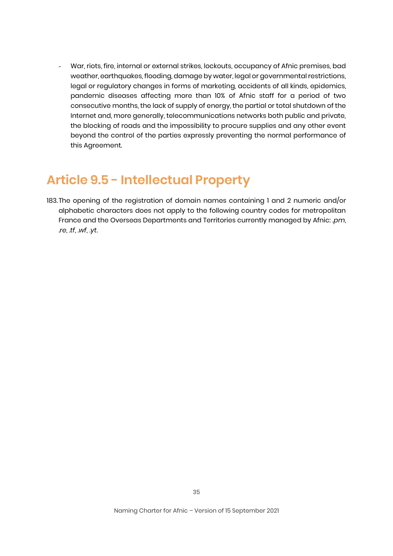War, riots, fire, internal or external strikes, lockouts, occupancy of Afnic premises, bad weather, earthquakes, flooding, damage by water, legal or governmental restrictions, legal or regulatory changes in forms of marketing, accidents of all kinds, epidemics, pandemic diseases affecting more than 10% of Afnic staff for a period of two consecutive months, the lack of supply of energy, the partial or total shutdown of the Internet and, more generally, telecommunications networks both public and private, the blocking of roads and the impossibility to procure supplies and any other event beyond the control of the parties expressly preventing the normal performance of this Agreement.

### **Article 9.5 - Intellectual Property**

183.The opening of the registration of domain names containing 1 and 2 numeric and/or alphabetic characters does not apply to the following country codes for metropolitan France and the Overseas Departments and Territories currently managed by Afnic: .*pm*, .*re*, .*tf*, .*wf*, .*yt*.